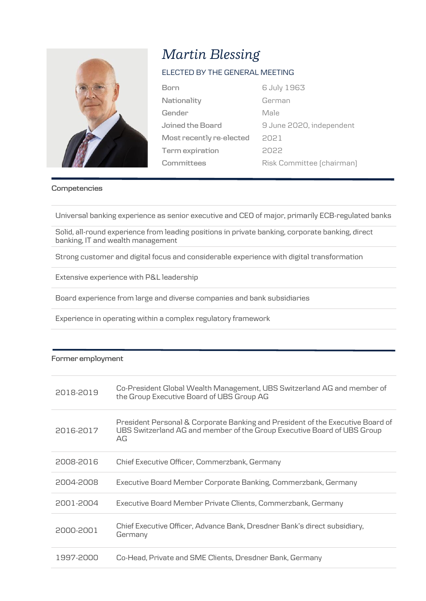

# *Martin Blessing*

### ELECTED BY THE GENERAL MEETING

| Born                     | 6 July 1963               |
|--------------------------|---------------------------|
| Nationality              | German                    |
| Gender                   | Male                      |
| Joined the Board         | 9 June 2020, independent  |
| Most recently re-elected | 2021                      |
| <b>Term</b> expiration   | 2022                      |
| Committees               | Risk Committee (chairman) |

#### **Competencies**

Universal banking experience as senior executive and CEO of major, primarily ECB-regulated banks

Solid, all-round experience from leading positions in private banking, corporate banking, direct banking, IT and wealth management

Strong customer and digital focus and considerable experience with digital transformation

Extensive experience with P&L leadership

Board experience from large and diverse companies and bank subsidiaries

Experience in operating within a complex regulatory framework

#### **Former employment**

| 2018-2019 | Co-President Global Wealth Management, UBS Switzerland AG and member of<br>the Group Executive Board of UBS Group AG                                            |
|-----------|-----------------------------------------------------------------------------------------------------------------------------------------------------------------|
| 2016-2017 | President Personal & Corporate Banking and President of the Executive Board of<br>UBS Switzerland AG and member of the Group Executive Board of UBS Group<br>AG |
| 2008-2016 | Chief Executive Officer, Commerzbank, Germany                                                                                                                   |
| 2004-2008 | Executive Board Member Corporate Banking, Commerzbank, Germany                                                                                                  |
| 2001-2004 | Executive Board Member Private Clients, Commerzbank, Germany                                                                                                    |
| 2000-2001 | Chief Executive Officer, Advance Bank, Dresdner Bank's direct subsidiary,<br>Germany                                                                            |
| 1997-2000 | Co-Head, Private and SME Clients, Dresdner Bank, Germany                                                                                                        |